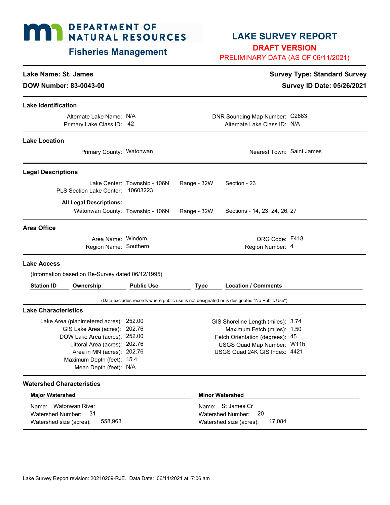# **MAY DEPARTMENT OF NATURAL RESOURCES**

# **Fisheries Management**

# **LAKE SURVEY REPORT**

**DRAFT VERSION**

PRELIMINARY DATA (AS OF 06/11/2021)

# **Lake Name: St. James Survey Type: Standard Survey**

**DOW Number: 83-0043-00 Survey ID Date: 05/26/2021**

| <b>Lake Identification</b>                                                            |                                                                                                                                                                                                                                                                                                                                                                                                        |                                                                                          |                                                                                             |  |  |
|---------------------------------------------------------------------------------------|--------------------------------------------------------------------------------------------------------------------------------------------------------------------------------------------------------------------------------------------------------------------------------------------------------------------------------------------------------------------------------------------------------|------------------------------------------------------------------------------------------|---------------------------------------------------------------------------------------------|--|--|
| Alternate Lake Name: N/A<br>Primary Lake Class ID: 42                                 |                                                                                                                                                                                                                                                                                                                                                                                                        |                                                                                          | DNR Sounding Map Number: C2883<br>Alternate Lake Class ID: N/A                              |  |  |
| <b>Lake Location</b>                                                                  |                                                                                                                                                                                                                                                                                                                                                                                                        |                                                                                          |                                                                                             |  |  |
| Primary County: Watonwan                                                              |                                                                                                                                                                                                                                                                                                                                                                                                        |                                                                                          | Nearest Town: Saint James                                                                   |  |  |
| <b>Legal Descriptions</b>                                                             |                                                                                                                                                                                                                                                                                                                                                                                                        |                                                                                          |                                                                                             |  |  |
| PLS Section Lake Center:                                                              | Lake Center: Township - 106N<br>10603223                                                                                                                                                                                                                                                                                                                                                               | Range - 32W                                                                              | Section - 23                                                                                |  |  |
| <b>All Legal Descriptions:</b>                                                        | Watonwan County: Township - 106N                                                                                                                                                                                                                                                                                                                                                                       | Range - 32W                                                                              | Sections - 14, 23, 24, 26, 27                                                               |  |  |
| <b>Area Office</b>                                                                    |                                                                                                                                                                                                                                                                                                                                                                                                        |                                                                                          |                                                                                             |  |  |
| Region Name: Southern                                                                 | Area Name: Windom                                                                                                                                                                                                                                                                                                                                                                                      |                                                                                          | ORG Code: F418<br>Region Number: 4                                                          |  |  |
| <b>Lake Access</b>                                                                    |                                                                                                                                                                                                                                                                                                                                                                                                        |                                                                                          |                                                                                             |  |  |
| (Information based on Re-Survey dated 06/12/1995)                                     |                                                                                                                                                                                                                                                                                                                                                                                                        |                                                                                          |                                                                                             |  |  |
| <b>Station ID</b><br>Ownership                                                        | <b>Public Use</b>                                                                                                                                                                                                                                                                                                                                                                                      | <b>Type</b>                                                                              | <b>Location / Comments</b>                                                                  |  |  |
|                                                                                       |                                                                                                                                                                                                                                                                                                                                                                                                        |                                                                                          | (Data excludes records where public use is not designated or is designated "No Public Use") |  |  |
| <b>Lake Characteristics</b>                                                           |                                                                                                                                                                                                                                                                                                                                                                                                        |                                                                                          |                                                                                             |  |  |
|                                                                                       | Lake Area (planimetered acres): 252.00<br>GIS Shoreline Length (miles): 3.74<br>GIS Lake Area (acres): 202.76<br>Maximum Fetch (miles): 1.50<br>DOW Lake Area (acres): 252.00<br>Fetch Orientation (degrees): 45<br>Littoral Area (acres): 202.76<br>USGS Quad Map Number: W11b<br>USGS Quad 24K GIS Index: 4421<br>Area in MN (acres): 202.76<br>Maximum Depth (feet): 15.4<br>Mean Depth (feet): N/A |                                                                                          |                                                                                             |  |  |
| <b>Watershed Characteristics</b>                                                      |                                                                                                                                                                                                                                                                                                                                                                                                        |                                                                                          |                                                                                             |  |  |
| <b>Major Watershed</b>                                                                |                                                                                                                                                                                                                                                                                                                                                                                                        | <b>Minor Watershed</b>                                                                   |                                                                                             |  |  |
| Name: Watonwan River<br>Watershed Number:<br>31<br>558,963<br>Watershed size (acres): |                                                                                                                                                                                                                                                                                                                                                                                                        | Name: St James Cr<br><b>Watershed Number:</b><br>20<br>17,084<br>Watershed size (acres): |                                                                                             |  |  |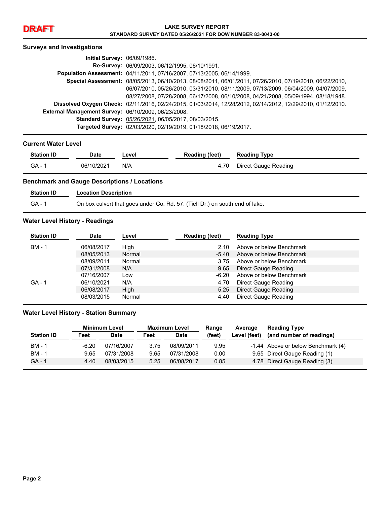# **DRAFT LAKE SURVEY REPORT STANDARD SURVEY DATED 05/26/2021 FOR DOW NUMBER 83-0043-00**

#### **Surveys and Investigations**

| <b>Initial Survey: 06/09/1986.</b>                  |                                                                                                             |
|-----------------------------------------------------|-------------------------------------------------------------------------------------------------------------|
|                                                     | Re-Survey: 06/09/2003, 06/12/1995, 06/10/1991.                                                              |
|                                                     | Population Assessment: 04/11/2011, 07/16/2007, 07/13/2005, 06/14/1999.                                      |
|                                                     | Special Assessment: 08/05/2013, 06/10/2013, 08/08/2011, 06/01/2011, 07/26/2010, 07/19/2010, 06/22/2010,     |
|                                                     | 06/07/2010, 05/26/2010, 03/31/2010, 08/11/2009, 07/13/2009, 06/04/2009, 04/07/2009,                         |
|                                                     | 08/27/2008, 07/28/2008, 06/17/2008, 06/10/2008, 04/21/2008, 05/09/1994, 08/18/1948.                         |
|                                                     | Dissolved Oxygen Check: 02/11/2016, 02/24/2015, 01/03/2014, 12/28/2012, 02/14/2012, 12/29/2010, 01/12/2010. |
| External Management Survey: 06/10/2009, 06/23/2008. |                                                                                                             |
|                                                     | Standard Survey: 05/26/2021, 06/05/2017, 08/03/2015.                                                        |
|                                                     | Targeted Survey: 02/03/2020, 02/19/2019, 01/18/2018, 06/19/2017.                                            |

#### **Current Water Level**

| <b>Station ID</b> | Date       | ∟evel | <b>Reading (feet)</b> | <b>Reading Type</b>         |
|-------------------|------------|-------|-----------------------|-----------------------------|
| GA -              | 06/10/2021 | N/A   | 4.70                  | <b>Direct Gauge Reading</b> |

#### **Benchmark and Gauge Descriptions / Locations**

| <b>Station ID</b> | <b>Location Description</b>                                                  |
|-------------------|------------------------------------------------------------------------------|
| GA - 1            | On box culvert that goes under Co. Rd. 57. (Tiell Dr.) on south end of lake. |

#### **Water Level History - Readings**

| <b>Station ID</b> | <b>Date</b> | Level  | <b>Reading (feet)</b> | <b>Reading Type</b>      |
|-------------------|-------------|--------|-----------------------|--------------------------|
| <b>BM - 1</b>     | 06/08/2017  | High   | 2.10                  | Above or below Benchmark |
|                   | 08/05/2013  | Normal | $-5.40$               | Above or below Benchmark |
|                   | 08/09/2011  | Normal | 3.75                  | Above or below Benchmark |
|                   | 07/31/2008  | N/A    | 9.65                  | Direct Gauge Reading     |
|                   | 07/16/2007  | Low    | -6.20                 | Above or below Benchmark |
| $GA - 1$          | 06/10/2021  | N/A    | 4.70                  | Direct Gauge Reading     |
|                   | 06/08/2017  | High   | 5.25                  | Direct Gauge Reading     |
|                   | 08/03/2015  | Normal | 4.40                  | Direct Gauge Reading     |

#### **Water Level History - Station Summary**

|                   |         | <b>Minimum Level</b> |      | <b>Maximum Level</b> | Range  | Average      | <b>Reading Type</b>                |
|-------------------|---------|----------------------|------|----------------------|--------|--------------|------------------------------------|
| <b>Station ID</b> | Feet    | Date                 | Feet | <b>Date</b>          | (feet) | Level (feet) | (and number of readings)           |
| BM - 1            | $-6.20$ | 07/16/2007           | 3.75 | 08/09/2011           | 9.95   |              | -1.44 Above or below Benchmark (4) |
| <b>BM - 1</b>     | 9.65    | 07/31/2008           | 9.65 | 07/31/2008           | 0.00   |              | 9.65 Direct Gauge Reading (1)      |
| GA - 1            | 4.40    | 08/03/2015           | 5.25 | 06/08/2017           | 0.85   |              | 4.78 Direct Gauge Reading (3)      |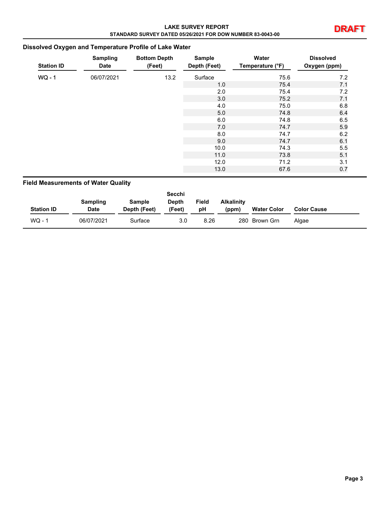## **Dissolved Oxygen and Temperature Profile of Lake Water**

| <b>Station ID</b> | Sampling<br>Date | <b>Bottom Depth</b><br>(Feet) | <b>Sample</b><br>Depth (Feet) | Water<br>Temperature (°F) | <b>Dissolved</b><br>Oxygen (ppm) |
|-------------------|------------------|-------------------------------|-------------------------------|---------------------------|----------------------------------|
| $WQ - 1$          | 06/07/2021       | 13.2                          | Surface                       | 75.6                      | 7.2                              |
|                   |                  |                               | 1.0                           | 75.4                      | 7.1                              |
|                   |                  |                               | 2.0                           | 75.4                      | 7.2                              |
|                   |                  |                               | 3.0                           | 75.2                      | 7.1                              |
|                   |                  |                               | 4.0                           | 75.0                      | 6.8                              |
|                   |                  |                               | 5.0                           | 74.8                      | 6.4                              |
|                   |                  |                               | 6.0                           | 74.8                      | 6.5                              |
|                   |                  |                               | 7.0                           | 74.7                      | 5.9                              |
|                   |                  | 8.0                           | 74.7                          | 6.2                       |                                  |
|                   |                  |                               | 9.0                           | 74.7                      | 6.1                              |
|                   |                  |                               | 10.0                          | 74.3                      | 5.5                              |
|                   |                  |                               | 11.0                          | 73.8                      | 5.1                              |
|                   |                  |                               | 12.0                          | 71.2                      | 3.1                              |
|                   |                  |                               | 13.0                          | 67.6                      | 0.7                              |
|                   |                  |                               |                               |                           |                                  |

#### **Field Measurements of Water Quality**

|                   |                 |               | Secchi       |       |                   |                    |                    |
|-------------------|-----------------|---------------|--------------|-------|-------------------|--------------------|--------------------|
|                   | <b>Sampling</b> | <b>Sample</b> | <b>Depth</b> | Field | <b>Alkalinity</b> |                    |                    |
| <b>Station ID</b> | <b>Date</b>     | Depth (Feet)  | (Feet)       | рH    | (ppm)             | <b>Water Color</b> | <b>Color Cause</b> |
| $WO - 1$          | 06/07/2021      | Surface       | 3.0          | 8.26  |                   | 280 Brown Grn      | Algae              |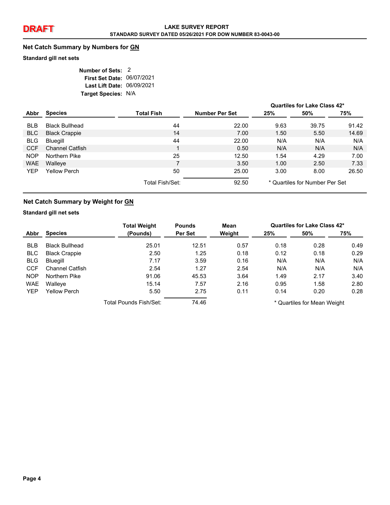## **Net Catch Summary by Numbers for GN**

#### **Standard gill net sets**

| Number of Sets: 2          |  |
|----------------------------|--|
| First Set Date: 06/07/2021 |  |
| Last Lift Date: 06/09/2021 |  |
| Target Species: N/A        |  |

|            |                        |                   |                       |      | Quartiles for Lake Class 42*   |       |
|------------|------------------------|-------------------|-----------------------|------|--------------------------------|-------|
| Abbr       | <b>Species</b>         | <b>Total Fish</b> | <b>Number Per Set</b> | 25%  | 50%                            | 75%   |
| <b>BLB</b> | <b>Black Bullhead</b>  | 44                | 22.00                 | 9.63 | 39.75                          | 91.42 |
| <b>BLC</b> | <b>Black Crappie</b>   | 14                | 7.00                  | 1.50 | 5.50                           | 14.69 |
| <b>BLG</b> | <b>Bluegill</b>        | 44                | 22.00                 | N/A  | N/A                            | N/A   |
| <b>CCF</b> | <b>Channel Catfish</b> |                   | 0.50                  | N/A  | N/A                            | N/A   |
| <b>NOP</b> | Northern Pike          | 25                | 12.50                 | 1.54 | 4.29                           | 7.00  |
| <b>WAE</b> | Walleye                | 7                 | 3.50                  | 1.00 | 2.50                           | 7.33  |
| <b>YEP</b> | <b>Yellow Perch</b>    | 50                | 25.00                 | 3.00 | 8.00                           | 26.50 |
|            |                        | Total Fish/Set:   | 92.50                 |      | * Quartiles for Number Per Set |       |

## **Net Catch Summary by Weight for GN**

#### **Standard gill net sets**

|            |                        | <b>Total Weight</b>    | <b>Pounds</b> | Mean   |      | Quartiles for Lake Class 42* |      |
|------------|------------------------|------------------------|---------------|--------|------|------------------------------|------|
| Abbr       | <b>Species</b>         | (Pounds)               | Per Set       | Weight | 25%  | 50%                          | 75%  |
| <b>BLB</b> | <b>Black Bullhead</b>  | 25.01                  | 12.51         | 0.57   | 0.18 | 0.28                         | 0.49 |
| <b>BLC</b> | <b>Black Crappie</b>   | 2.50                   | 1.25          | 0.18   | 0.12 | 0.18                         | 0.29 |
| <b>BLG</b> | Bluegill               | 7.17                   | 3.59          | 0.16   | N/A  | N/A                          | N/A  |
| <b>CCF</b> | <b>Channel Catfish</b> | 2.54                   | 1.27          | 2.54   | N/A  | N/A                          | N/A  |
| <b>NOP</b> | Northern Pike          | 91.06                  | 45.53         | 3.64   | 1.49 | 2.17                         | 3.40 |
| <b>WAE</b> | Walleye                | 15.14                  | 7.57          | 2.16   | 0.95 | 1.58                         | 2.80 |
| <b>YEP</b> | <b>Yellow Perch</b>    | 5.50                   | 2.75          | 0.11   | 0.14 | 0.20                         | 0.28 |
|            |                        | Total Pounds Fish/Set: | 74.46         |        |      | * Quartiles for Mean Weight  |      |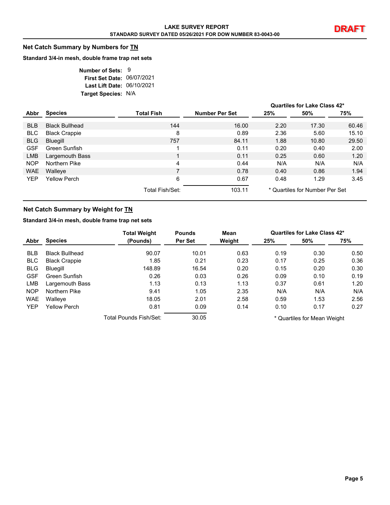#### **Net Catch Summary by Numbers for TN**

#### **Standard 3/4-in mesh, double frame trap net sets**

| Number of Sets: 9          |  |
|----------------------------|--|
| First Set Date: 06/07/2021 |  |
| Last Lift Date: 06/10/2021 |  |
| Target Species: N/A        |  |

|            |                       |                   |                       | Quartiles for Lake Class 42*   |       |       |
|------------|-----------------------|-------------------|-----------------------|--------------------------------|-------|-------|
| Abbr       | <b>Species</b>        | <b>Total Fish</b> | <b>Number Per Set</b> | 25%                            | 50%   | 75%   |
| <b>BLB</b> | <b>Black Bullhead</b> | 144               | 16.00                 | 2.20                           | 17.30 | 60.46 |
| <b>BLC</b> | <b>Black Crappie</b>  | 8                 | 0.89                  | 2.36                           | 5.60  | 15.10 |
| <b>BLG</b> | <b>Bluegill</b>       | 757               | 84.11                 | 1.88                           | 10.80 | 29.50 |
| <b>GSF</b> | Green Sunfish         |                   | 0.11                  | 0.20                           | 0.40  | 2.00  |
| <b>LMB</b> | Largemouth Bass       |                   | 0.11                  | 0.25                           | 0.60  | 1.20  |
| <b>NOP</b> | Northern Pike         | 4                 | 0.44                  | N/A                            | N/A   | N/A   |
| <b>WAE</b> | Walleye               | 7                 | 0.78                  | 0.40                           | 0.86  | 1.94  |
| <b>YEP</b> | <b>Yellow Perch</b>   | 6                 | 0.67                  | 0.48                           | 1.29  | 3.45  |
|            |                       | Total Fish/Set:   | 103.11                | * Quartiles for Number Per Set |       |       |

#### **Net Catch Summary by Weight for TN**

#### **Standard 3/4-in mesh, double frame trap net sets**

|            |                       | <b>Total Weight</b>    | <b>Pounds</b> | Mean   | Quartiles for Lake Class 42* |                             |      |
|------------|-----------------------|------------------------|---------------|--------|------------------------------|-----------------------------|------|
| Abbr       | <b>Species</b>        | (Pounds)               | Per Set       | Weight | 25%                          | 50%                         | 75%  |
| <b>BLB</b> | <b>Black Bullhead</b> | 90.07                  | 10.01         | 0.63   | 0.19                         | 0.30                        | 0.50 |
| <b>BLC</b> | <b>Black Crappie</b>  | 1.85                   | 0.21          | 0.23   | 0.17                         | 0.25                        | 0.36 |
| <b>BLG</b> | Bluegill              | 148.89                 | 16.54         | 0.20   | 0.15                         | 0.20                        | 0.30 |
| <b>GSF</b> | Green Sunfish         | 0.26                   | 0.03          | 0.26   | 0.09                         | 0.10                        | 0.19 |
| <b>LMB</b> | Largemouth Bass       | 1.13                   | 0.13          | 1.13   | 0.37                         | 0.61                        | 1.20 |
| <b>NOP</b> | Northern Pike         | 9.41                   | 1.05          | 2.35   | N/A                          | N/A                         | N/A  |
| <b>WAE</b> | Walleye               | 18.05                  | 2.01          | 2.58   | 0.59                         | 1.53                        | 2.56 |
| <b>YEP</b> | <b>Yellow Perch</b>   | 0.81                   | 0.09          | 0.14   | 0.10                         | 0.17                        | 0.27 |
|            |                       | Total Pounds Fish/Set: | 30.05         |        |                              | * Quartiles for Mean Weight |      |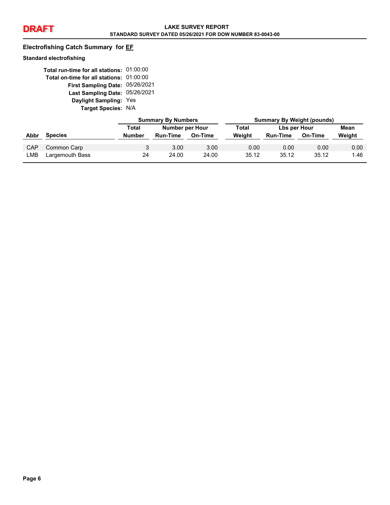#### **Electrofishing Catch Summary for EF**

#### **Standard electrofishing**

**Total run-time for all stations:** 01:00:00 **Total on-time for all stations:** 01:00:00 **First Sampling Date:** 05/26/2021 **Last Sampling Date:** 05/26/2021 **Target Species:** N/A **Daylight Sampling:** Yes

|      |                 |               | <b>Summary By Numbers</b> |         | <b>Summary By Weight (pounds)</b> |                 |         |        |  |
|------|-----------------|---------------|---------------------------|---------|-----------------------------------|-----------------|---------|--------|--|
|      |                 | Total         | Number per Hour           |         | Total                             | Lbs per Hour    |         | Mean   |  |
| Abbr | <b>Species</b>  | <b>Number</b> | <b>Run-Time</b>           | On-Time | Weiaht                            | <b>Run-Time</b> | On-Time | Weight |  |
| CAP  | Common Carp     |               | 3.00                      | 3.00    | 0.00                              | 0.00            | 0.00    | 0.00   |  |
| MB-  | Largemouth Bass | 24            | 24.00                     | 24.00   | 35.12                             | 35.12           | 35.12   | 1.46   |  |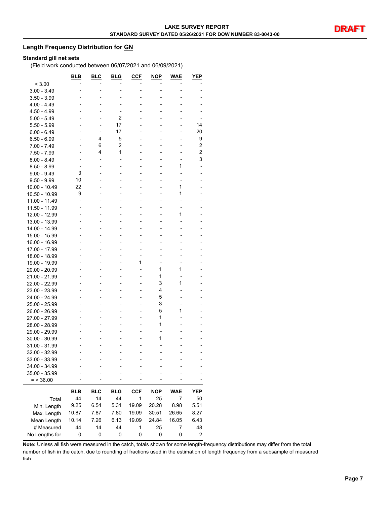#### **Length Frequency Distribution for GN**

#### **Standard gill net sets**

(Field work conducted between 06/07/2021 and 06/09/2021)

|                | <b>BLB</b>                   | <b>BLC</b>     | <b>BLG</b>     | <u>CCF</u>     | <b>NOP</b> | <b>WAE</b>               | YEP                     |
|----------------|------------------------------|----------------|----------------|----------------|------------|--------------------------|-------------------------|
| < 3.00         |                              |                |                |                |            |                          |                         |
| $3.00 - 3.49$  |                              | ۰              | ٠              |                |            |                          |                         |
| $3.50 - 3.99$  |                              |                |                |                |            |                          |                         |
| 4.00 - 4.49    |                              |                |                |                |            |                          |                         |
| $4.50 - 4.99$  |                              |                |                |                |            |                          |                         |
| $5.00 - 5.49$  |                              |                | 2              |                |            |                          |                         |
| $5.50 - 5.99$  |                              | -              | 17             |                |            |                          | 14                      |
| 6.00 - 6.49    |                              | -              | 17             | $\overline{a}$ | ٠          | $\overline{\phantom{a}}$ | 20                      |
| 6.50 - 6.99    |                              | 4              | 5              |                |            |                          | 9                       |
| $7.00 - 7.49$  |                              | 6              | 2              |                |            |                          | $\overline{c}$          |
| $7.50 - 7.99$  |                              | 4              | 1              |                |            |                          | $\overline{2}$          |
| $8.00 - 8.49$  |                              | L,             |                |                |            |                          | 3                       |
| $8.50 - 8.99$  | $\qquad \qquad \blacksquare$ | ٠              | ۰              |                |            | 1                        |                         |
| $9.00 - 9.49$  | 3                            |                |                |                |            |                          |                         |
| $9.50 - 9.99$  | 10                           |                |                |                |            |                          |                         |
| 10.00 - 10.49  | 22                           |                | $\overline{a}$ |                |            | 1                        |                         |
| 10.50 - 10.99  | 9                            |                |                |                |            | 1                        |                         |
| 11.00 - 11.49  | -                            | $\overline{a}$ | $\overline{a}$ |                |            |                          |                         |
| 11.50 - 11.99  |                              |                |                |                |            |                          |                         |
| 12.00 - 12.99  |                              |                |                |                |            | 1                        |                         |
| 13.00 - 13.99  |                              |                | $\overline{a}$ |                |            |                          |                         |
| 14.00 - 14.99  |                              |                |                |                |            |                          |                         |
| 15.00 - 15.99  |                              | $\overline{a}$ | ۰              |                |            |                          |                         |
| 16.00 - 16.99  |                              |                |                |                |            |                          |                         |
| 17.00 - 17.99  |                              |                |                |                |            |                          |                         |
| 18.00 - 18.99  |                              |                | $\overline{a}$ |                |            |                          |                         |
| 19.00 - 19.99  |                              |                | $\overline{a}$ | 1              |            |                          |                         |
| 20.00 - 20.99  |                              | $\overline{a}$ | $\overline{a}$ |                | 1          | 1                        |                         |
| 21.00 - 21.99  |                              |                |                |                | 1          |                          |                         |
| 22.00 - 22.99  |                              |                |                |                | 3          | 1                        |                         |
| 23.00 - 23.99  |                              |                | $\overline{a}$ |                | 4          |                          |                         |
| 24.00 - 24.99  |                              |                |                |                | 5          |                          |                         |
| 25.00 - 25.99  |                              | -              | $\overline{a}$ |                | 3          |                          |                         |
| 26.00 - 26.99  |                              |                |                |                | 5          | 1                        |                         |
| 27.00 - 27.99  |                              |                |                |                | 1          |                          |                         |
| 28.00 - 28.99  |                              |                | $\overline{a}$ |                | 1          |                          |                         |
| 29.00 - 29.99  |                              |                |                |                |            |                          |                         |
| 30.00 - 30.99  |                              |                |                |                | 1          |                          |                         |
| 31.00 - 31.99  |                              |                |                |                |            |                          |                         |
| 32.00 - 32.99  |                              |                |                |                |            |                          |                         |
| 33.00 - 33.99  |                              |                |                |                |            |                          |                         |
| 34.00 - 34.99  |                              |                |                |                |            |                          |                         |
| 35.00 - 35.99  |                              |                |                |                |            |                          |                         |
| $=$ > 36.00    |                              |                |                |                |            |                          |                         |
|                |                              |                |                |                |            |                          |                         |
|                | <b>BLB</b>                   | <b>BLC</b>     | <b>BLG</b>     | <u>CCF</u>     | <b>NOP</b> | <b>WAE</b>               | YEP                     |
| Total          | 44                           | 14             | 44             | 1              | 25         | 7                        | 50                      |
| Min. Length    | 9.25                         | 6.54           | 5.31           | 19.09          | 20.28      | 8.98                     | 5.51                    |
| Max. Length    | 10.87                        | 7.87           | 7.80           | 19.09          | 30.51      | 26.65                    | 8.27                    |
| Mean Length    | 10.14                        | 7.26           | 6.13           | 19.09          | 24.84      | 16.05                    | 6.43                    |
| # Measured     | 44                           | 14             | 44             | 1              | 25         | 7                        | 48                      |
| No Lengths for | 0                            | 0              | 0              | 0              | 0          | 0                        | $\overline{\mathbf{c}}$ |

**Note:** Unless all fish were measured in the catch, totals shown for some length-frequency distributions may differ from the total number of fish in the catch, due to rounding of fractions used in the estimation of length frequency from a subsample of measured fish.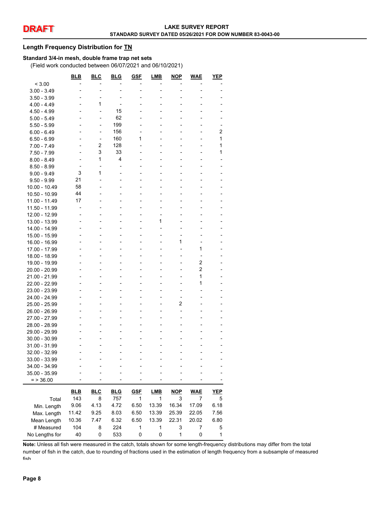#### **Length Frequency Distribution for TN**

#### **Standard 3/4-in mesh, double frame trap net sets**

(Field work conducted between 06/07/2021 and 06/10/2021)

|                                | <b>BLB</b> | <b>BLC</b>               | <b>BLG</b>     | <b>GSF</b>     | LMB        | <b>NOP</b>     | <b>WAE</b>     | <b>YEP</b> |
|--------------------------------|------------|--------------------------|----------------|----------------|------------|----------------|----------------|------------|
| < 3.00                         |            |                          |                |                |            |                |                |            |
| $3.00 - 3.49$                  |            |                          |                |                |            |                |                |            |
| $3.50 - 3.99$                  |            | $\overline{a}$           |                |                |            | -              |                |            |
| $4.00 - 4.49$                  |            | 1                        |                |                |            |                |                |            |
| $4.50 - 4.99$                  |            | -                        | 15             |                |            |                |                |            |
| $5.00 - 5.49$                  |            | $\overline{\phantom{0}}$ | 62             |                |            |                |                |            |
| $5.50 - 5.99$                  |            | ÷,                       | 199            | $\overline{a}$ |            |                |                |            |
| $6.00 - 6.49$                  |            | $\overline{\phantom{a}}$ | 156            | ÷,             |            | $\overline{a}$ | L,             | 2          |
| $6.50 - 6.99$                  |            | $\overline{\phantom{m}}$ | 160            | 1              |            | $\overline{a}$ |                | 1          |
| $7.00 - 7.49$                  |            | 2                        | 128            | -              |            | -              |                | 1          |
| $7.50 - 7.99$                  |            | 3                        | 33             |                |            |                |                | 1          |
| $8.00 - 8.49$                  |            | 1                        | 4              |                |            |                |                |            |
| $8.50 - 8.99$                  |            | ٠                        |                |                |            | -              |                |            |
| $9.00 - 9.49$                  | 3          | 1                        |                |                |            |                |                |            |
| $9.50 - 9.99$                  | 21         | -                        |                |                |            |                |                |            |
| 10.00 - 10.49                  | 58         | $\overline{a}$           |                |                |            |                |                |            |
| 10.50 - 10.99                  | 44         | $\overline{a}$           |                |                |            |                |                |            |
| 11.00 - 11.49                  | 17         | $\overline{a}$           | $\overline{a}$ | -              |            | $\overline{a}$ |                |            |
| 11.50 - 11.99                  | -          | -                        |                |                |            |                |                |            |
| 12.00 - 12.99                  | -          | -                        |                |                |            | ٠              |                |            |
| 13.00 - 13.99                  |            |                          |                |                | 1          |                |                |            |
| 14.00 - 14.99                  |            |                          |                |                |            |                |                |            |
| 15.00 - 15.99                  |            | $\overline{a}$           |                | -              |            | ٠              |                |            |
| 16.00 - 16.99                  |            |                          |                |                |            | 1              |                |            |
| 17.00 - 17.99                  |            | -                        |                |                |            | -              | 1              |            |
| 18.00 - 18.99                  |            |                          |                |                |            | -              |                |            |
| 19.00 - 19.99                  |            |                          |                |                |            | $\overline{a}$ | 2              |            |
| 20.00 - 20.99                  |            | $\overline{a}$           | $\overline{a}$ | -              |            | $\overline{a}$ | 2              |            |
| 21.00 - 21.99                  |            | -                        |                |                |            | $\overline{a}$ | 1              |            |
| 22.00 - 22.99                  |            | -                        |                |                |            | -              | 1              |            |
| 23.00 - 23.99                  |            |                          |                |                |            |                |                |            |
|                                |            |                          |                |                |            | $\overline{a}$ |                |            |
| 24.00 - 24.99<br>25.00 - 25.99 |            | $\overline{a}$           |                | -              |            | 2              |                |            |
|                                |            |                          |                |                |            | $\overline{a}$ |                |            |
| 26.00 - 26.99                  |            |                          |                |                |            | -              |                |            |
| 27.00 - 27.99                  |            |                          |                |                |            |                |                |            |
| 28.00 - 28.99                  |            |                          |                |                |            |                |                |            |
| 29.00 - 29.99                  |            |                          |                |                |            |                |                |            |
| $30.00 - 30.99$                |            |                          |                |                |            |                |                |            |
| 31.00 - 31.99                  |            |                          |                |                |            |                |                |            |
| 32.00 - 32.99                  |            |                          |                |                |            |                |                |            |
| 33.00 - 33.99                  |            |                          |                |                |            |                |                |            |
| 34.00 - 34.99                  |            |                          |                |                |            |                |                |            |
| 35.00 - 35.99                  |            |                          |                |                |            |                |                |            |
| $=$ > 36.00                    |            |                          |                |                |            |                |                |            |
|                                | <b>BLB</b> | <b>BLC</b>               | <b>BLG</b>     | <b>GSF</b>     | <b>LMB</b> | <b>NOP</b>     | <b>WAE</b>     | YEP        |
| Total                          | 143        | 8                        | 757            | 1              | 1          | 3              | 7              | 5          |
| Min. Length                    | 9.06       | 4.13                     | 4.72           | 6.50           | 13.39      | 16.34          | 17.09          | 6.18       |
| Max. Length                    | 11.42      | 9.25                     | 8.03           | 6.50           | 13.39      | 25.39          | 22.05          | 7.56       |
| Mean Length                    | 10.36      | 7.47                     | 6.32           | 6.50           | 13.39      | 22.31          | 20.02          | 6.80       |
| # Measured                     | 104        | 8                        | 224            | 1              | 1          | 3              | $\overline{7}$ | 5          |
| No Lengths for                 | 40         | 0                        | 533            | 0              | 0          | 1              | 0              | 1          |
|                                |            |                          |                |                |            |                |                |            |

**Note:** Unless all fish were measured in the catch, totals shown for some length-frequency distributions may differ from the total number of fish in the catch, due to rounding of fractions used in the estimation of length frequency from a subsample of measured fish.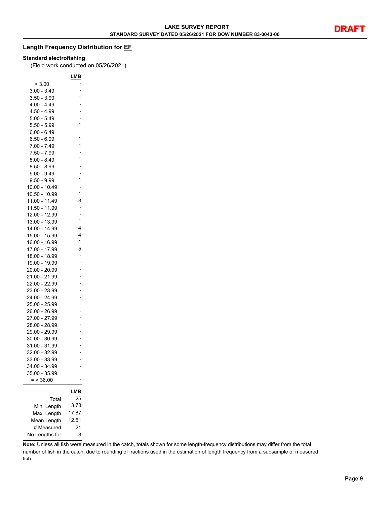#### **Length Frequency Distribution for EF**

#### **Standard electrofishing**

(Field work conducted on 05/26/2021)

|                | <u>LMB</u>               |
|----------------|--------------------------|
| < 3.00         |                          |
| $3.00 - 3.49$  | -                        |
| $3.50 - 3.99$  | $\mathbf{1}$             |
| $4.00 - 4.49$  | -                        |
| $4.50 - 4.99$  | -                        |
| $5.00 - 5.49$  | $\overline{a}$           |
| $5.50 - 5.99$  | 1                        |
| $6.00 - 6.49$  | $\overline{a}$           |
| $6.50 - 6.99$  | 1                        |
| $7.00 - 7.49$  | 1                        |
| 7.50 - 7.99    |                          |
| $8.00 - 8.49$  | 1                        |
| $8.50 - 8.99$  | -                        |
| $9.00 - 9.49$  | $\overline{a}$           |
| $9.50 - 9.99$  | 1                        |
| 10.00 - 10.49  | $\overline{a}$           |
| 10.50 - 10.99  | 1                        |
| 11.00 - 11.49  | 3                        |
| 11.50 - 11.99  | $\overline{a}$           |
| 12.00 - 12.99  | $\overline{\phantom{a}}$ |
| 13.00 - 13.99  | 1                        |
| 14.00 - 14.99  | 4                        |
| 15.00 - 15.99  | 4                        |
| 16.00 - 16.99  | 1                        |
| 17.00 - 17.99  | 5                        |
| 18.00 - 18.99  | -                        |
| 19.00 - 19.99  | -                        |
| 20.00 - 20.99  | -                        |
| 21.00 - 21.99  | $\overline{a}$           |
| 22.00 - 22.99  | -                        |
| 23.00 - 23.99  | $\overline{a}$           |
| 24.00 - 24.99  | $\overline{a}$           |
| 25.00 - 25.99  | -                        |
| 26.00 - 26.99  | $\overline{a}$           |
| 27.00 - 27.99  | -                        |
| 28.00 - 28.99  | $\overline{a}$           |
| 29.00 - 29.99  | $\overline{a}$           |
| 30.00 - 30.99  | $\overline{a}$           |
| 31.00 - 31.99  |                          |
| 32.00 - 32.99  |                          |
| 33.00 - 33.99  |                          |
| 34.00 - 34.99  |                          |
| 35.00 - 35.99  |                          |
| $-36.00$       |                          |
|                |                          |
|                | LMB<br>25                |
| Total          |                          |
| Min. Length    | 3.78                     |
| Max. Length    | 17.87                    |
| Mean Length    | 12.51                    |
| # Measured     | 21                       |
| No Lengths for | 3                        |

**Note:** Unless all fish were measured in the catch, totals shown for some length-frequency distributions may differ from the total number of fish in the catch, due to rounding of fractions used in the estimation of length frequency from a subsample of measured fish.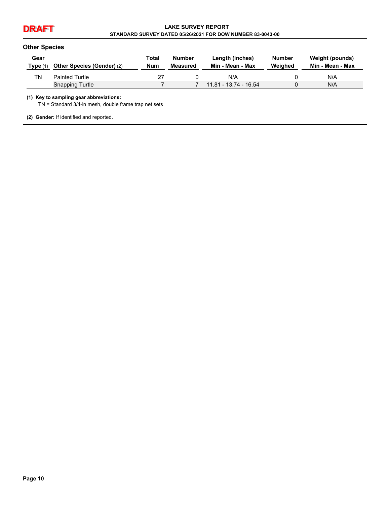**DRAFT LAKE SURVEY REPORT STANDARD SURVEY DATED 05/26/2021 FOR DOW NUMBER 83-0043-00**

#### **Other Species**

| Gear<br>Type $(1)$ | <b>Other Species (Gender) (2)</b> | Total<br>Num | Number<br>Measured | Length (inches)<br>Min - Mean - Max | Number<br>Weighed | Weight (pounds)<br>Min - Mean - Max |
|--------------------|-----------------------------------|--------------|--------------------|-------------------------------------|-------------------|-------------------------------------|
| TN                 | <b>Painted Turtle</b>             | 27           |                    | N/A                                 |                   | N/A                                 |
|                    | Snapping Turtle                   |              |                    | 11.81 - 13.74 - 16.54               |                   | N/A                                 |

#### **(1) Key to sampling gear abbreviations:**

TN = Standard 3/4-in mesh, double frame trap net sets

**(2) Gender:** If identified and reported.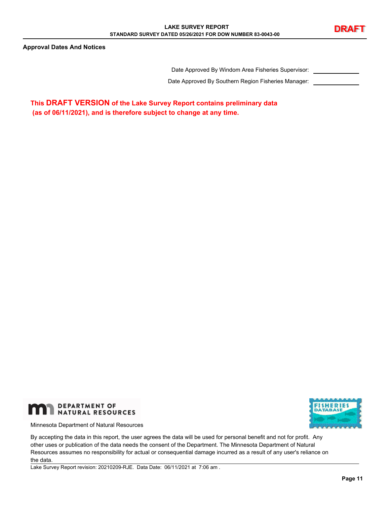**Approval Dates And Notices**

Date Approved By Windom Area Fisheries Supervisor:

Date Approved By Southern Region Fisheries Manager:

**This DRAFT VERSION of the Lake Survey Report contains preliminary data (as of 06/11/2021), and is therefore subject to change at any time.**



Minnesota Department of Natural Resources

By accepting the data in this report, the user agrees the data will be used for personal benefit and not for profit. Any other uses or publication of the data needs the consent of the Department. The Minnesota Department of Natural Resources assumes no responsibility for actual or consequential damage incurred as a result of any user's reliance on the data.

Lake Survey Report revision: 20210209-RJE. Data Date: 06/11/2021 at 7:06 am .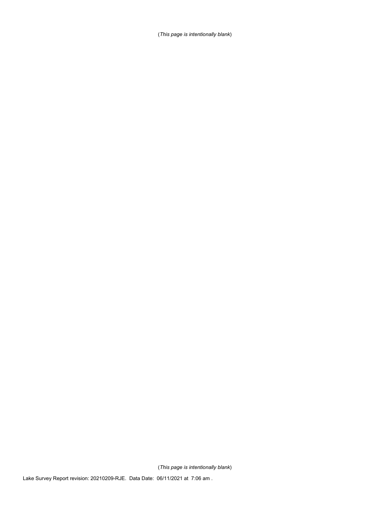(*This page is intentionally blank*)

(*This page is intentionally blank*)